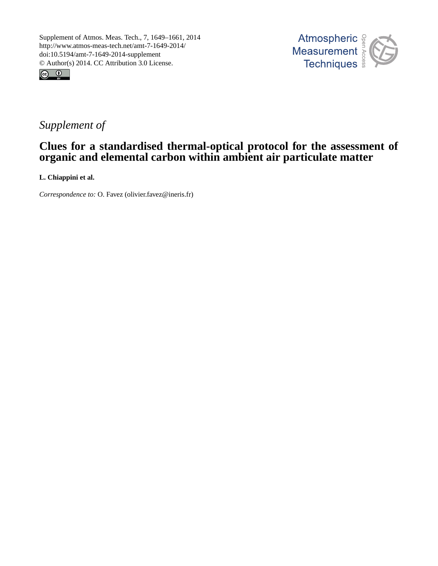



# *Supplement of*

# **Clues for a standardised thermal-optical protocol for the assessment of organic and elemental carbon within ambient air particulate matter**

**L. Chiappini et al.**

*Correspondence to:* O. Favez (olivier.favez@ineris.fr)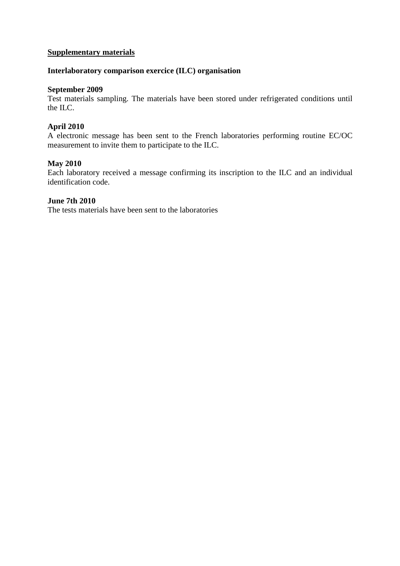# **Supplementary materials**

# **Interlaboratory comparison exercice (ILC) organisation**

#### **September 2009**

Test materials sampling. The materials have been stored under refrigerated conditions until the ILC.

## **April 2010**

A electronic message has been sent to the French laboratories performing routine EC/OC measurement to invite them to participate to the ILC.

#### **May 2010**

Each laboratory received a message confirming its inscription to the ILC and an individual identification code.

#### **June 7th 2010**

The tests materials have been sent to the laboratories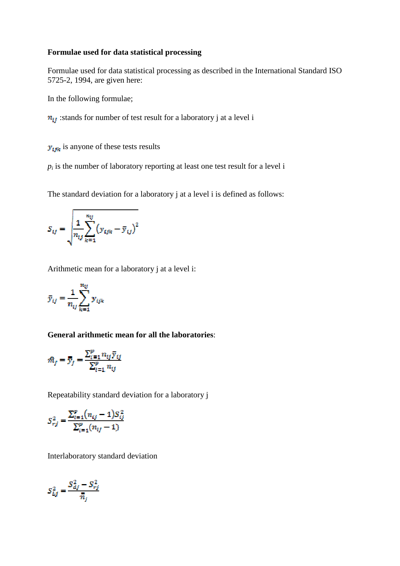## **Formulae used for data statistical processing**

Formulae used for data statistical processing as described in the International Standard ISO 5725-2, 1994, are given here:

In the following formulae;

 $n_{ij}$ : stands for number of test result for a laboratory j at a level i

 $y_{ijk}$  is anyone of these tests results

 $p_i$  is the number of laboratory reporting at least one test result for a level i

The standard deviation for a laboratory j at a level i is defined as follows:

$$
S_{ij} = \sqrt{\frac{1}{n_{ij} \sum_{k=1}^{n_{ij}} (y_{ijk} - \bar{y}_{ij})^2}
$$

Arithmetic mean for a laboratory j at a level i:

$$
\bar{y}_{ij} = \frac{1}{n_{ij}} \sum_{k=1}^{n_{ij}} y_{ijk}
$$

#### **General arithmetic mean for all the laboratories**:

$$
\hat{m}_j = \overline{\overline{y}}_j = \frac{\sum_{i=1}^p n_{ij} \overline{y}_{ij}}{\sum_{i=1}^p n_{ij}}
$$

Repeatability standard deviation for a laboratory j

$$
S_{rj}^{2} = \frac{\sum_{i=1}^{p} (n_{ij} - 1) S_{ij}^{2}}{\sum_{i=1}^{p} (n_{ij} - 1)}
$$

Interlaboratory standard deviation

$$
S_{Lj}^2 = \frac{S_{dj}^2 - S_{rj}^2}{\overline{n}_j}
$$